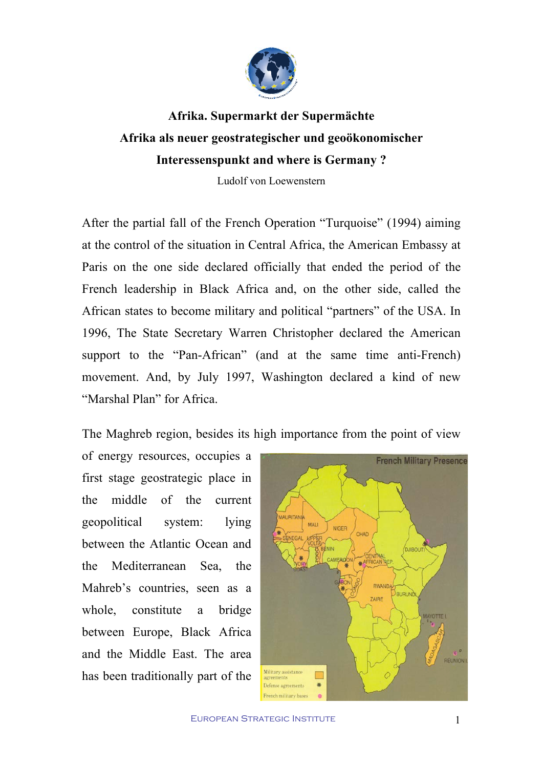

**Afrika. Supermarkt der Supermächte Afrika als neuer geostrategischer und geoökonomischer Interessenspunkt and where is Germany ?**

Ludolf von Loewenstern

After the partial fall of the French Operation "Turquoise" (1994) aiming at the control of the situation in Central Africa, the American Embassy at Paris on the one side declared officially that ended the period of the French leadership in Black Africa and, on the other side, called the African states to become military and political "partners" of the USA. In 1996, The State Secretary Warren Christopher declared the American support to the "Pan-African" (and at the same time anti-French) movement. And, by July 1997, Washington declared a kind of new "Marshal Plan" for Africa.

The Maghreb region, besides its high importance from the point of view

of energy resources, occupies a first stage geostrategic place in the middle of the current geopolitical system: lying between the Atlantic Ocean and the Mediterranean Sea, the Mahreb's countries, seen as a whole, constitute a bridge between Europe, Black Africa and the Middle East. The area has been traditionally part of the

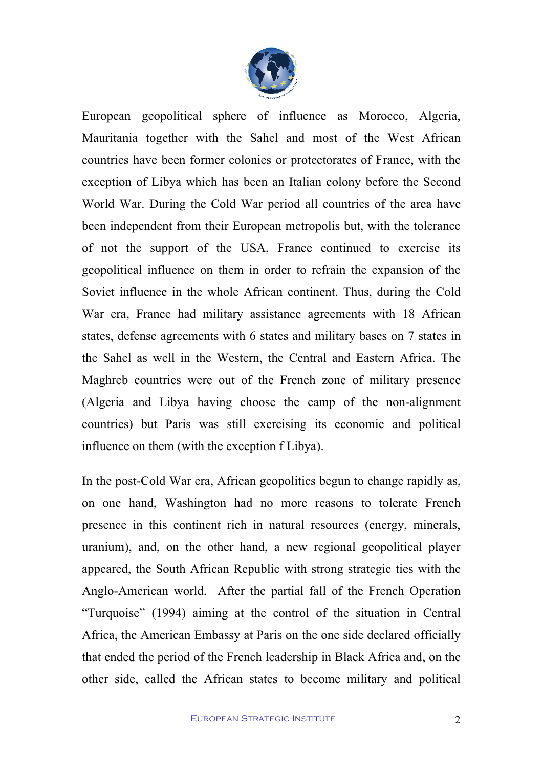

European geopolitical sphere of influence as Morocco, Algeria, Mauritania together with the Sahel and most of the West African countries have been former colonies or protectorates of France, with the exception of Libya which has been an Italian colony before the Second World War. During the Cold War period all countries of the area have been independent from their European metropolis but, with the tolerance of not the support of the USA, France continued to exercise its geopolitical influence on them in order to refrain the expansion of the Soviet influence in the whole African continent. Thus, during the Cold War era, France had military assistance agreements with 18 African states, defense agreements with 6 states and military bases on 7 states in the Sahel as well in the Western, the Central and Eastern Africa. The Maghreb countries were out of the French zone of military presence (Algeria and Libya having choose the camp of the non-alignment countries) but Paris was still exercising its economic and political influence on them (with the exception f Libya).

In the post-Cold War era, African geopolitics begun to change rapidly as, on one hand, Washington had no more reasons to tolerate French presence in this continent rich in natural resources (energy, minerals, uranium), and, on the other hand, a new regional geopolitical player appeared, the South African Republic with strong strategic ties with the Anglo-American world. After the partial fall of the French Operation "Turquoise" (1994) aiming at the control of the situation in Central Africa, the American Embassy at Paris on the one side declared officially that ended the period of the French leadership in Black Africa and, on the other side, called the African states to become military and political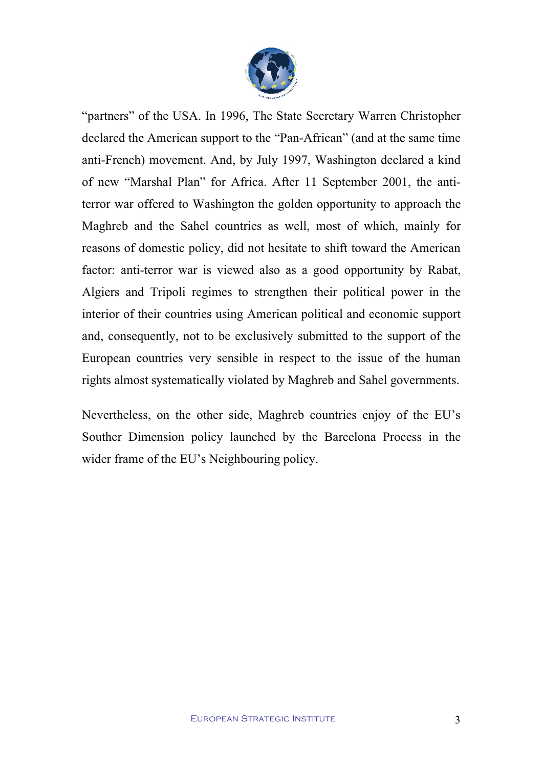

"partners" of the USA. In 1996, The State Secretary Warren Christopher declared the American support to the "Pan-African" (and at the same time anti-French) movement. And, by July 1997, Washington declared a kind of new "Marshal Plan" for Africa. After 11 September 2001, the antiterror war offered to Washington the golden opportunity to approach the Maghreb and the Sahel countries as well, most of which, mainly for reasons of domestic policy, did not hesitate to shift toward the American factor: anti-terror war is viewed also as a good opportunity by Rabat, Algiers and Tripoli regimes to strengthen their political power in the interior of their countries using American political and economic support and, consequently, not to be exclusively submitted to the support of the European countries very sensible in respect to the issue of the human rights almost systematically violated by Maghreb and Sahel governments.

Nevertheless, on the other side, Maghreb countries enjoy of the EU's Souther Dimension policy launched by the Barcelona Process in the wider frame of the EU's Neighbouring policy.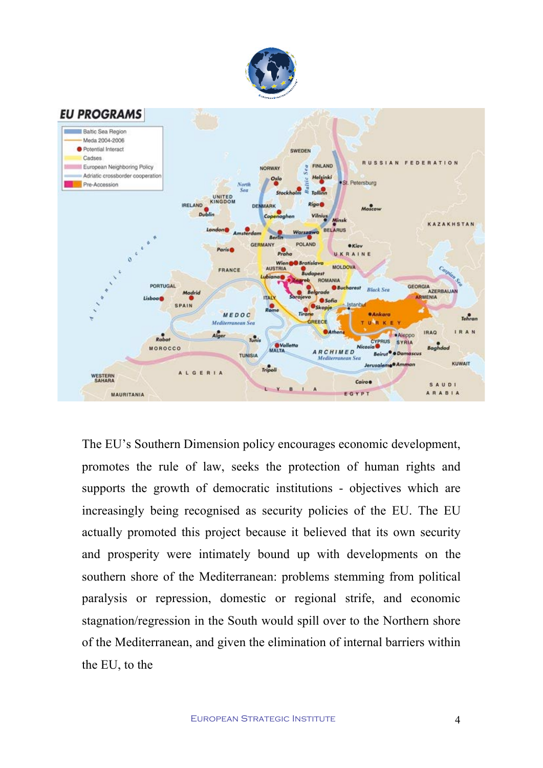



The EU's Southern Dimension policy encourages economic development, promotes the rule of law, seeks the protection of human rights and supports the growth of democratic institutions - objectives which are increasingly being recognised as security policies of the EU. The EU actually promoted this project because it believed that its own security and prosperity were intimately bound up with developments on the southern shore of the Mediterranean: problems stemming from political paralysis or repression, domestic or regional strife, and economic stagnation/regression in the South would spill over to the Northern shore of the Mediterranean, and given the elimination of internal barriers within the EU, to the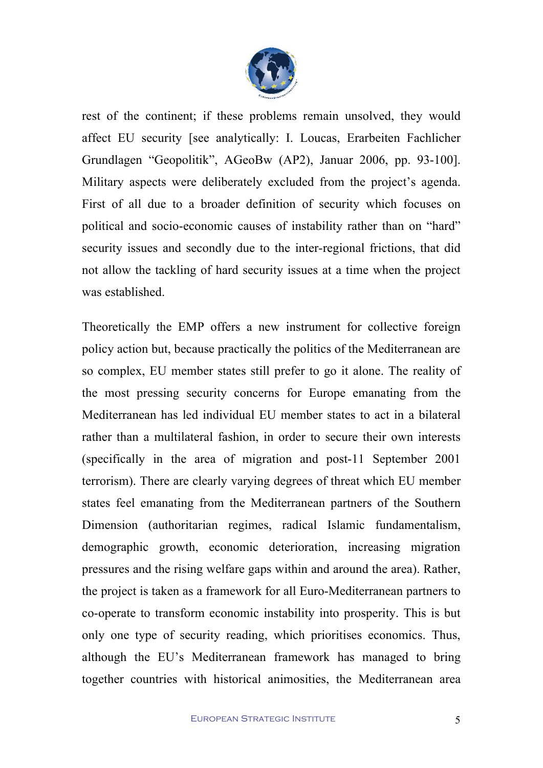

rest of the continent; if these problems remain unsolved, they would affect EU security [see analytically: I. Loucas, Erarbeiten Fachlicher Grundlagen "Geopolitik", AGeoBw (AP2), Januar 2006, pp. 93-100]. Military aspects were deliberately excluded from the project's agenda. First of all due to a broader definition of security which focuses on political and socio-economic causes of instability rather than on "hard" security issues and secondly due to the inter-regional frictions, that did not allow the tackling of hard security issues at a time when the project was established.

Theoretically the EMP offers a new instrument for collective foreign policy action but, because practically the politics of the Mediterranean are so complex, EU member states still prefer to go it alone. The reality of the most pressing security concerns for Europe emanating from the Mediterranean has led individual EU member states to act in a bilateral rather than a multilateral fashion, in order to secure their own interests (specifically in the area of migration and post-11 September 2001 terrorism). There are clearly varying degrees of threat which EU member states feel emanating from the Mediterranean partners of the Southern Dimension (authoritarian regimes, radical Islamic fundamentalism, demographic growth, economic deterioration, increasing migration pressures and the rising welfare gaps within and around the area). Rather, the project is taken as a framework for all Euro-Mediterranean partners to co-operate to transform economic instability into prosperity. This is but only one type of security reading, which prioritises economics. Thus, although the EU's Mediterranean framework has managed to bring together countries with historical animosities, the Mediterranean area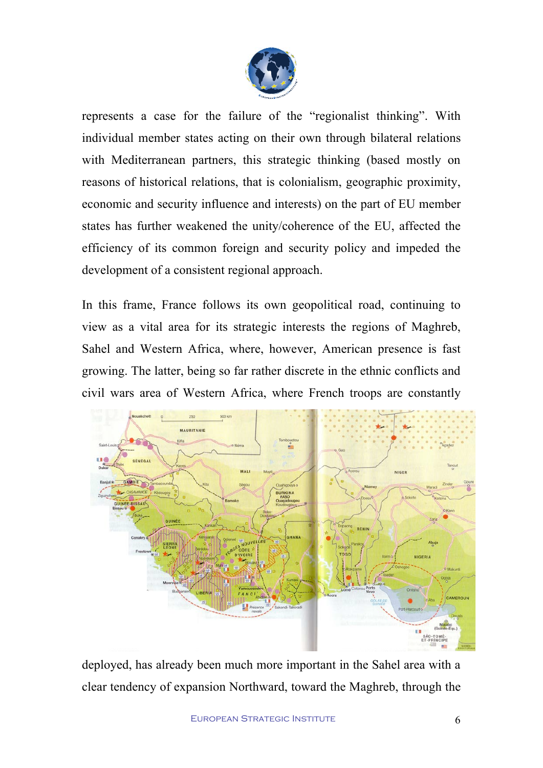

represents a case for the failure of the "regionalist thinking". With individual member states acting on their own through bilateral relations with Mediterranean partners, this strategic thinking (based mostly on reasons of historical relations, that is colonialism, geographic proximity, economic and security influence and interests) on the part of EU member states has further weakened the unity/coherence of the EU, affected the efficiency of its common foreign and security policy and impeded the development of a consistent regional approach.

In this frame, France follows its own geopolitical road, continuing to view as a vital area for its strategic interests the regions of Maghreb, Sahel and Western Africa, where, however, American presence is fast growing. The latter, being so far rather discrete in the ethnic conflicts and civil wars area of Western Africa, where French troops are constantly



deployed, has already been much more important in the Sahel area with a clear tendency of expansion Northward, toward the Maghreb, through the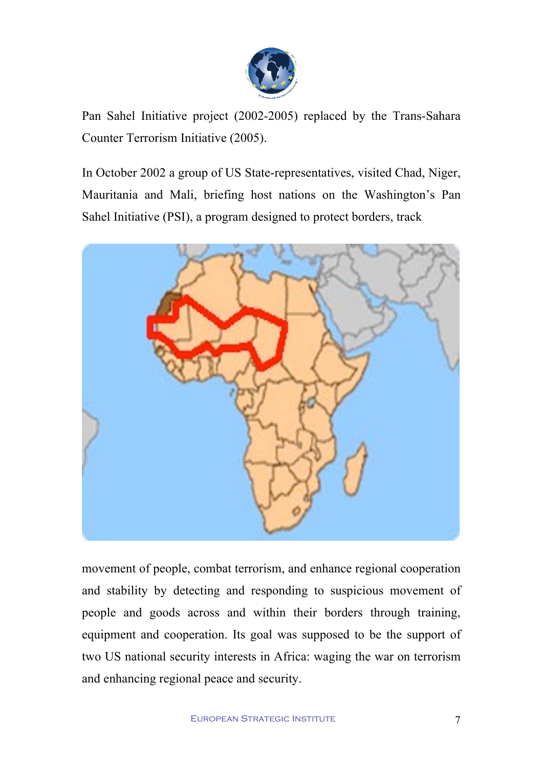

Pan Sahel Initiative project (2002-2005) replaced by the Trans-Sahara Counter Terrorism Initiative (2005).

In October 2002 a group of US State-representatives, visited Chad, Niger, Mauritania and Mali, briefing host nations on the Washington's Pan Sahel Initiative (PSI), a program designed to protect borders, track



movement of people, combat terrorism, and enhance regional cooperation and stability by detecting and responding to suspicious movement of people and goods across and within their borders through training, equipment and cooperation. Its goal was supposed to be the support of two US national security interests in Africa: waging the war on terrorism and enhancing regional peace and security.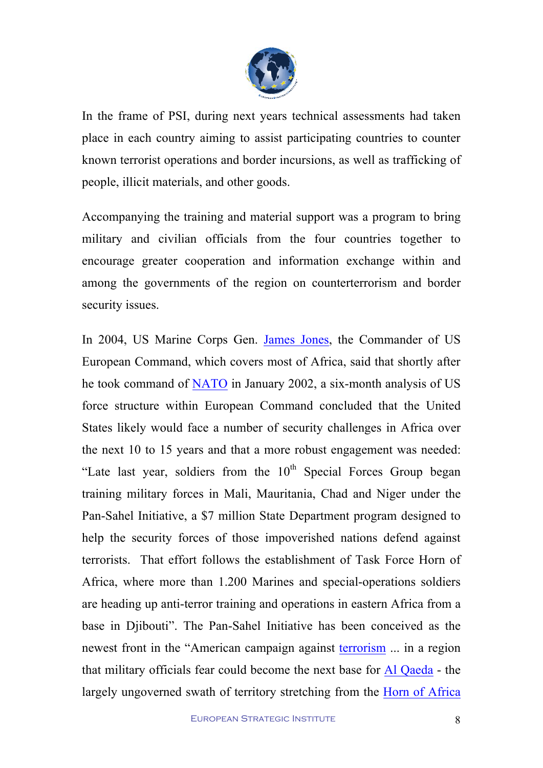

In the frame of PSI, during next years technical assessments had taken place in each country aiming to assist participating countries to counter known terrorist operations and border incursions, as well as trafficking of people, illicit materials, and other goods.

Accompanying the training and material support was a program to bring military and civilian officials from the four countries together to encourage greater cooperation and information exchange within and among the governments of the region on counterterrorism and border security issues.

In 2004, US Marine Corps Gen. James Jones, the Commander of US European Command, which covers most of Africa, said that shortly after he took command of NATO in January 2002, a six-month analysis of US force structure within European Command concluded that the United States likely would face a number of security challenges in Africa over the next 10 to 15 years and that a more robust engagement was needed: "Late last year, soldiers from the  $10<sup>th</sup>$  Special Forces Group began training military forces in Mali, Mauritania, Chad and Niger under the Pan-Sahel Initiative, a \$7 million State Department program designed to help the security forces of those impoverished nations defend against terrorists. That effort follows the establishment of Task Force Horn of Africa, where more than 1.200 Marines and special-operations soldiers are heading up anti-terror training and operations in eastern Africa from a base in Djibouti". The Pan-Sahel Initiative has been conceived as the newest front in the "American campaign against terrorism ... in a region that military officials fear could become the next base for Al Qaeda - the largely ungoverned swath of territory stretching from the Horn of Africa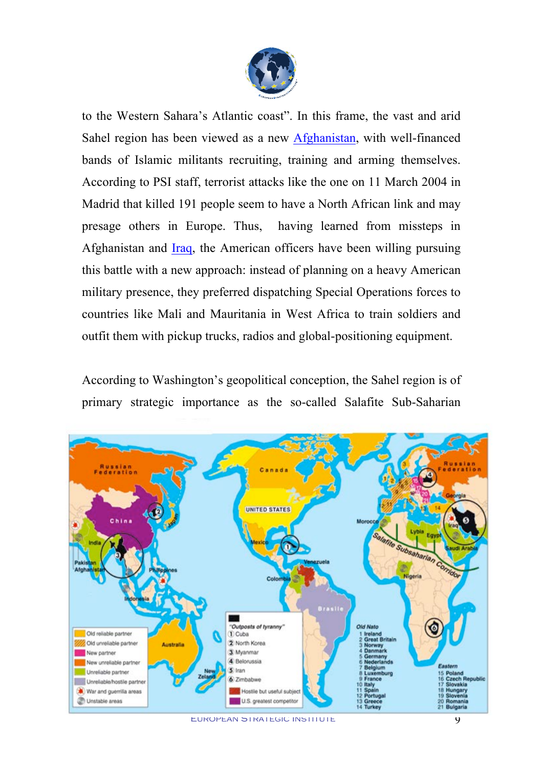

to the Western Sahara's Atlantic coast". In this frame, the vast and arid Sahel region has been viewed as a new Afghanistan, with well-financed bands of Islamic militants recruiting, training and arming themselves. According to PSI staff, terrorist attacks like the one on 11 March 2004 in Madrid that killed 191 people seem to have a North African link and may presage others in Europe. Thus, having learned from missteps in Afghanistan and Iraq, the American officers have been willing pursuing this battle with a new approach: instead of planning on a heavy American military presence, they preferred dispatching Special Operations forces to countries like Mali and Mauritania in West Africa to train soldiers and outfit them with pickup trucks, radios and global-positioning equipment.

According to Washington's geopolitical conception, the Sahel region is of primary strategic importance as the so-called Salafite Sub-Saharian



European Strategic Institute 9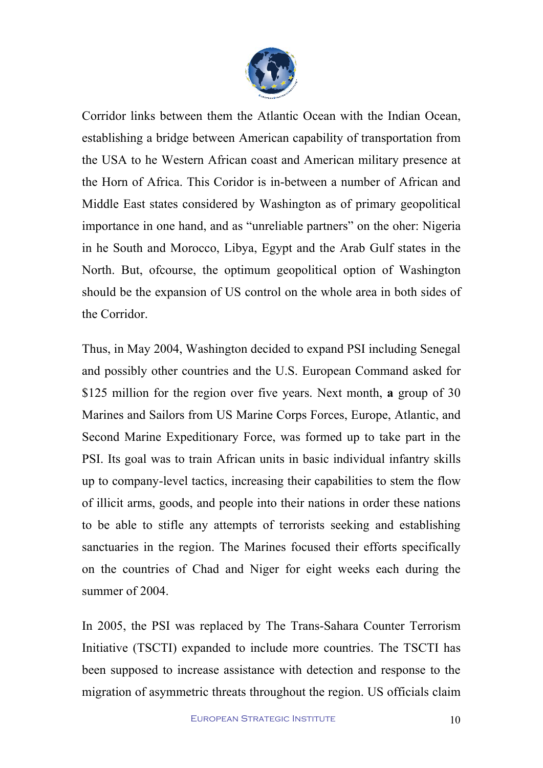

Corridor links between them the Atlantic Ocean with the Indian Ocean, establishing a bridge between American capability of transportation from the USA to he Western African coast and American military presence at the Horn of Africa. This Coridor is in-between a number of African and Middle East states considered by Washington as of primary geopolitical importance in one hand, and as "unreliable partners" on the oher: Nigeria in he South and Morocco, Libya, Egypt and the Arab Gulf states in the North. But, ofcourse, the optimum geopolitical option of Washington should be the expansion of US control on the whole area in both sides of the Corridor.

Thus, in May 2004, Washington decided to expand PSI including Senegal and possibly other countries and the U.S. European Command asked for \$125 million for the region over five years. Next month, **a** group of 30 Marines and Sailors from US Marine Corps Forces, Europe, Atlantic, and Second Marine Expeditionary Force, was formed up to take part in the PSI. Its goal was to train African units in basic individual infantry skills up to company-level tactics, increasing their capabilities to stem the flow of illicit arms, goods, and people into their nations in order these nations to be able to stifle any attempts of terrorists seeking and establishing sanctuaries in the region. The Marines focused their efforts specifically on the countries of Chad and Niger for eight weeks each during the summer of 2004.

In 2005, the PSI was replaced by The Trans-Sahara Counter Terrorism Initiative (TSCTI) expanded to include more countries. The TSCTI has been supposed to increase assistance with detection and response to the migration of asymmetric threats throughout the region. US officials claim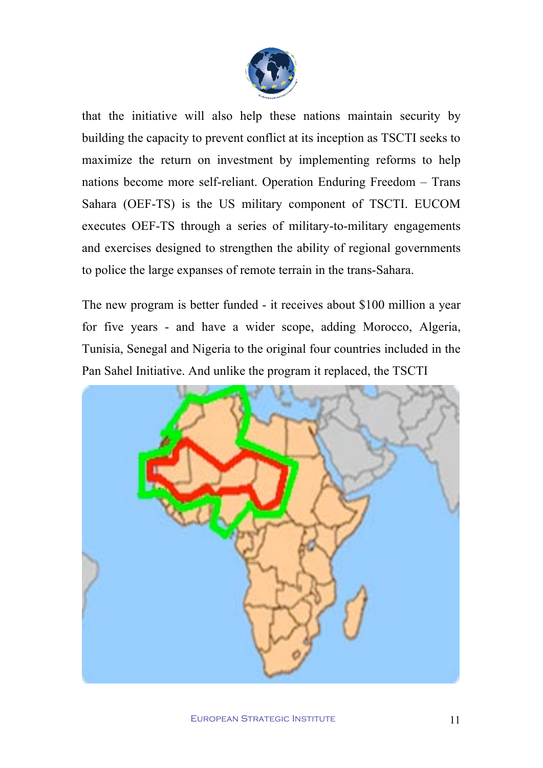

that the initiative will also help these nations maintain security by building the capacity to prevent conflict at its inception as TSCTI seeks to maximize the return on investment by implementing reforms to help nations become more self-reliant. Operation Enduring Freedom – Trans Sahara (OEF-TS) is the US military component of TSCTI. EUCOM executes OEF-TS through a series of military-to-military engagements and exercises designed to strengthen the ability of regional governments to police the large expanses of remote terrain in the trans-Sahara.

The new program is better funded - it receives about \$100 million a year for five years - and have a wider scope, adding Morocco, Algeria, Tunisia, Senegal and Nigeria to the original four countries included in the Pan Sahel Initiative. And unlike the program it replaced, the TSCTI

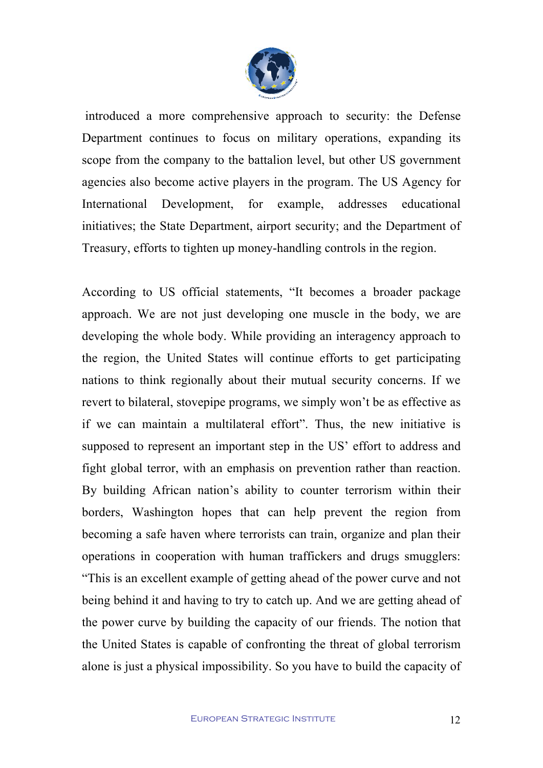

introduced a more comprehensive approach to security: the Defense Department continues to focus on military operations, expanding its scope from the company to the battalion level, but other US government agencies also become active players in the program. The US Agency for International Development, for example, addresses educational initiatives; the State Department, airport security; and the Department of Treasury, efforts to tighten up money-handling controls in the region.

According to US official statements, "It becomes a broader package approach. We are not just developing one muscle in the body, we are developing the whole body. While providing an interagency approach to the region, the United States will continue efforts to get participating nations to think regionally about their mutual security concerns. If we revert to bilateral, stovepipe programs, we simply won't be as effective as if we can maintain a multilateral effort". Thus, the new initiative is supposed to represent an important step in the US' effort to address and fight global terror, with an emphasis on prevention rather than reaction. By building African nation's ability to counter terrorism within their borders, Washington hopes that can help prevent the region from becoming a safe haven where terrorists can train, organize and plan their operations in cooperation with human traffickers and drugs smugglers: "This is an excellent example of getting ahead of the power curve and not being behind it and having to try to catch up. And we are getting ahead of the power curve by building the capacity of our friends. The notion that the United States is capable of confronting the threat of global terrorism alone is just a physical impossibility. So you have to build the capacity of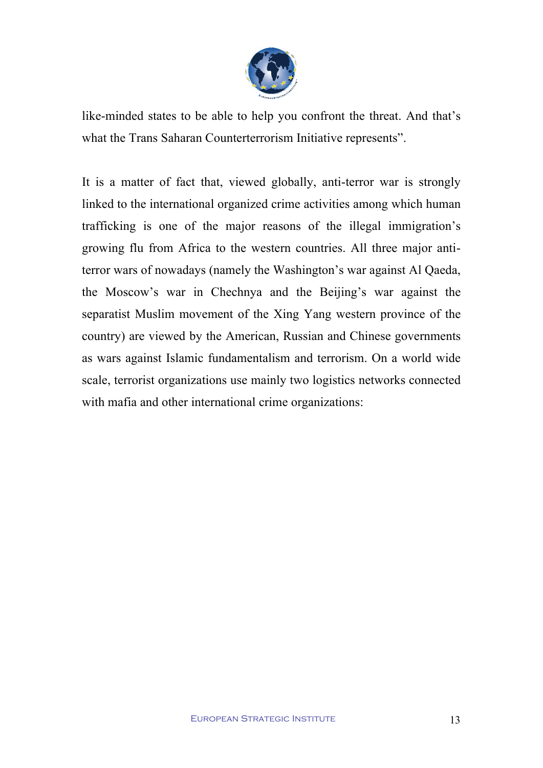

like-minded states to be able to help you confront the threat. And that's what the Trans Saharan Counterterrorism Initiative represents".

It is a matter of fact that, viewed globally, anti-terror war is strongly linked to the international organized crime activities among which human trafficking is one of the major reasons of the illegal immigration's growing flu from Africa to the western countries. All three major antiterror wars of nowadays (namely the Washington's war against Al Qaeda, the Moscow's war in Chechnya and the Beijing's war against the separatist Muslim movement of the Xing Yang western province of the country) are viewed by the American, Russian and Chinese governments as wars against Islamic fundamentalism and terrorism. On a world wide scale, terrorist organizations use mainly two logistics networks connected with mafia and other international crime organizations: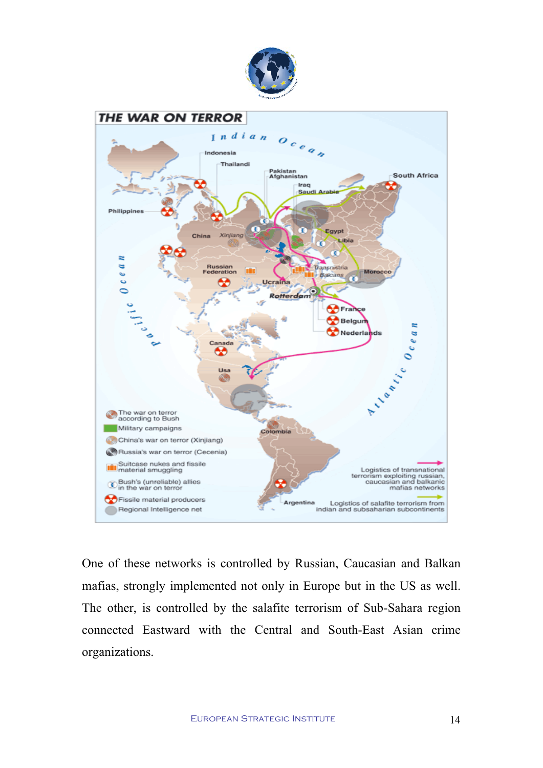



One of these networks is controlled by Russian, Caucasian and Balkan mafias, strongly implemented not only in Europe but in the US as well. The other, is controlled by the salafite terrorism of Sub-Sahara region connected Eastward with the Central and South-East Asian crime organizations.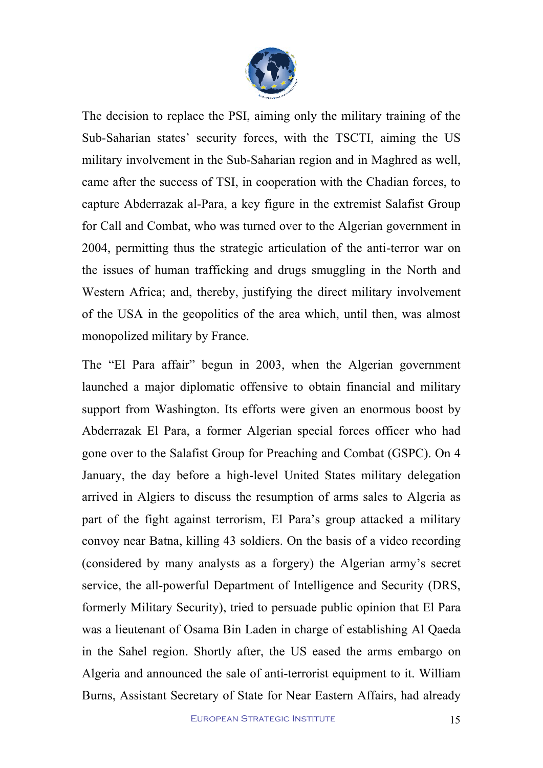

The decision to replace the PSI, aiming only the military training of the Sub-Saharian states' security forces, with the TSCTI, aiming the US military involvement in the Sub-Saharian region and in Maghred as well, came after the success of TSI, in cooperation with the Chadian forces, to capture Abderrazak al-Para, a key figure in the extremist Salafist Group for Call and Combat, who was turned over to the Algerian government in 2004, permitting thus the strategic articulation of the anti-terror war on the issues of human trafficking and drugs smuggling in the North and Western Africa; and, thereby, justifying the direct military involvement of the USA in the geopolitics of the area which, until then, was almost monopolized military by France.

The "El Para affair" begun in 2003, when the Algerian government launched a major diplomatic offensive to obtain financial and military support from Washington. Its efforts were given an enormous boost by Abderrazak El Para, a former Algerian special forces officer who had gone over to the Salafist Group for Preaching and Combat (GSPC). On 4 January, the day before a high-level United States military delegation arrived in Algiers to discuss the resumption of arms sales to Algeria as part of the fight against terrorism, El Para's group attacked a military convoy near Batna, killing 43 soldiers. On the basis of a video recording (considered by many analysts as a forgery) the Algerian army's secret service, the all-powerful Department of Intelligence and Security (DRS, formerly Military Security), tried to persuade public opinion that El Para was a lieutenant of Osama Bin Laden in charge of establishing Al Qaeda in the Sahel region. Shortly after, the US eased the arms embargo on Algeria and announced the sale of anti-terrorist equipment to it. William Burns, Assistant Secretary of State for Near Eastern Affairs, had already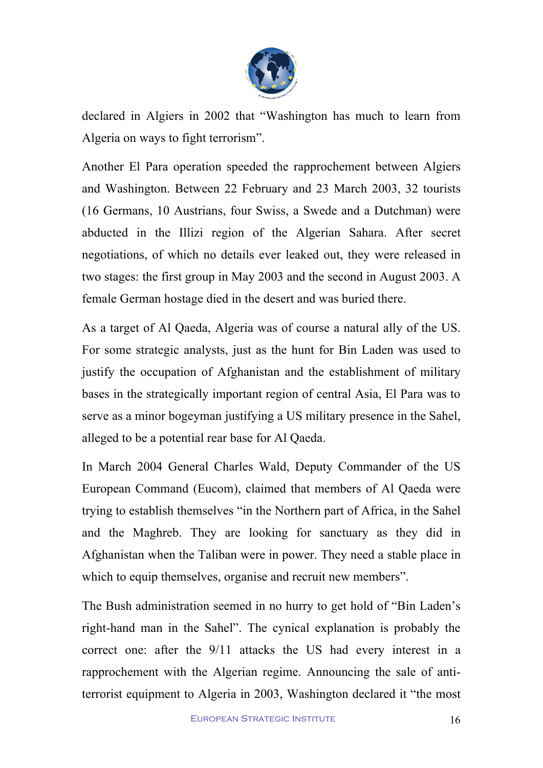

declared in Algiers in 2002 that "Washington has much to learn from Algeria on ways to fight terrorism".

Another El Para operation speeded the rapprochement between Algiers and Washington. Between 22 February and 23 March 2003, 32 tourists (16 Germans, 10 Austrians, four Swiss, a Swede and a Dutchman) were abducted in the Illizi region of the Algerian Sahara. After secret negotiations, of which no details ever leaked out, they were released in two stages: the first group in May 2003 and the second in August 2003. A female German hostage died in the desert and was buried there.

As a target of Al Qaeda, Algeria was of course a natural ally of the US. For some strategic analysts, just as the hunt for Bin Laden was used to justify the occupation of Afghanistan and the establishment of military bases in the strategically important region of central Asia, El Para was to serve as a minor bogeyman justifying a US military presence in the Sahel, alleged to be a potential rear base for Al Qaeda.

In March 2004 General Charles Wald, Deputy Commander of the US European Command (Eucom), claimed that members of Al Qaeda were trying to establish themselves "in the Northern part of Africa, in the Sahel and the Maghreb. They are looking for sanctuary as they did in Afghanistan when the Taliban were in power. They need a stable place in which to equip themselves, organise and recruit new members".

The Bush administration seemed in no hurry to get hold of "Bin Laden's right-hand man in the Sahel". The cynical explanation is probably the correct one: after the 9/11 attacks the US had every interest in a rapprochement with the Algerian regime. Announcing the sale of antiterrorist equipment to Algeria in 2003, Washington declared it "the most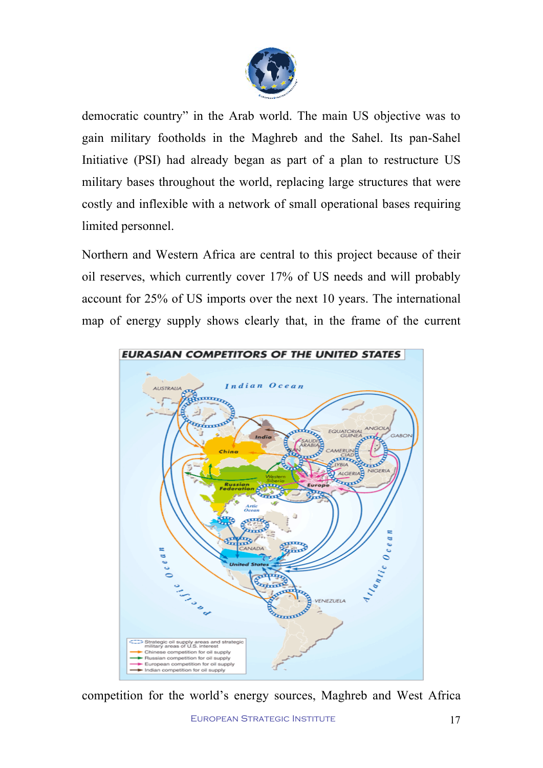

democratic country" in the Arab world. The main US objective was to gain military footholds in the Maghreb and the Sahel. Its pan-Sahel Initiative (PSI) had already began as part of a plan to restructure US military bases throughout the world, replacing large structures that were costly and inflexible with a network of small operational bases requiring limited personnel.

Northern and Western Africa are central to this project because of their oil reserves, which currently cover 17% of US needs and will probably account for 25% of US imports over the next 10 years. The international map of energy supply shows clearly that, in the frame of the current



competition for the world's energy sources, Maghreb and West Africa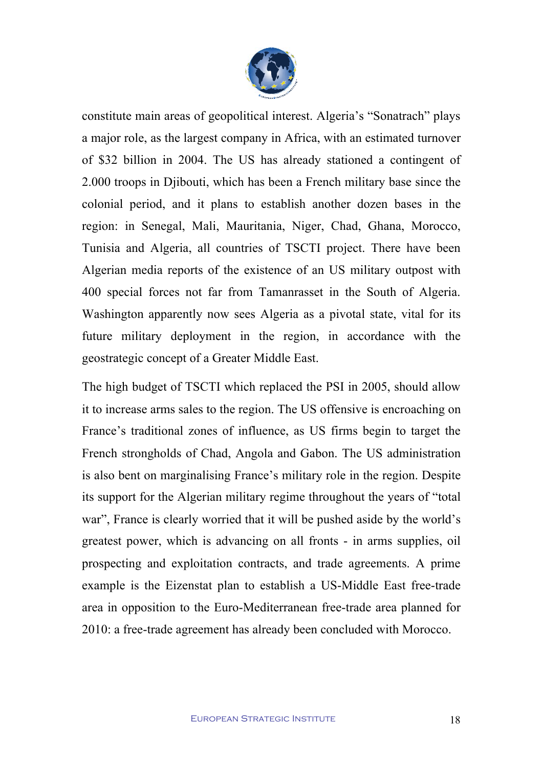

constitute main areas of geopolitical interest. Algeria's "Sonatrach" plays a major role, as the largest company in Africa, with an estimated turnover of \$32 billion in 2004. The US has already stationed a contingent of 2.000 troops in Djibouti, which has been a French military base since the colonial period, and it plans to establish another dozen bases in the region: in Senegal, Mali, Mauritania, Niger, Chad, Ghana, Morocco, Tunisia and Algeria, all countries of TSCTI project. There have been Algerian media reports of the existence of an US military outpost with 400 special forces not far from Tamanrasset in the South of Algeria. Washington apparently now sees Algeria as a pivotal state, vital for its future military deployment in the region, in accordance with the geostrategic concept of a Greater Middle East.

The high budget of TSCTI which replaced the PSI in 2005, should allow it to increase arms sales to the region. The US offensive is encroaching on France's traditional zones of influence, as US firms begin to target the French strongholds of Chad, Angola and Gabon. The US administration is also bent on marginalising France's military role in the region. Despite its support for the Algerian military regime throughout the years of "total war", France is clearly worried that it will be pushed aside by the world's greatest power, which is advancing on all fronts - in arms supplies, oil prospecting and exploitation contracts, and trade agreements. A prime example is the Eizenstat plan to establish a US-Middle East free-trade area in opposition to the Euro-Mediterranean free-trade area planned for 2010: a free-trade agreement has already been concluded with Morocco.